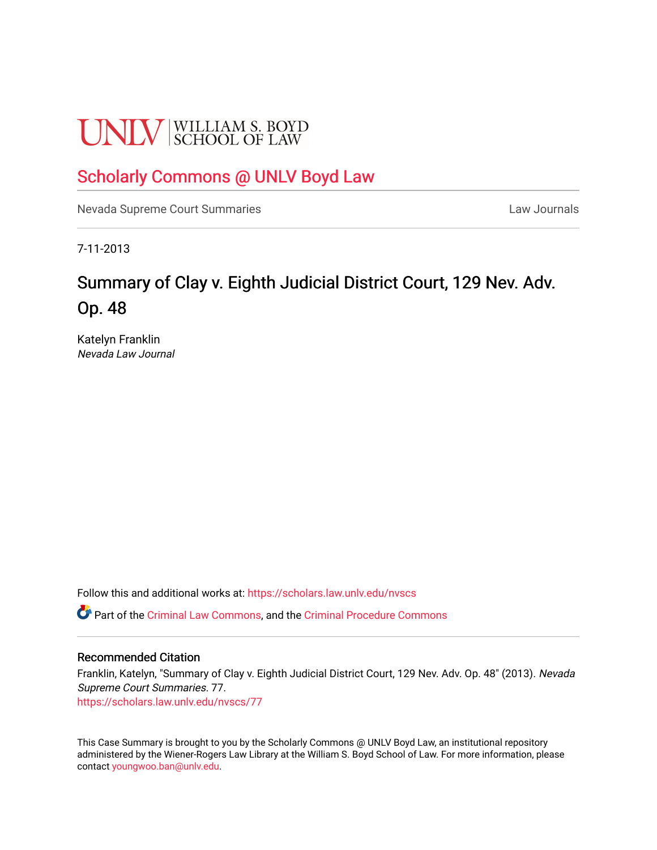# **UNLV** SCHOOL OF LAW

# [Scholarly Commons @ UNLV Boyd Law](https://scholars.law.unlv.edu/)

[Nevada Supreme Court Summaries](https://scholars.law.unlv.edu/nvscs) **Law Journals** Law Journals

7-11-2013

# Summary of Clay v. Eighth Judicial District Court, 129 Nev. Adv. Op. 48

Katelyn Franklin Nevada Law Journal

Follow this and additional works at: [https://scholars.law.unlv.edu/nvscs](https://scholars.law.unlv.edu/nvscs?utm_source=scholars.law.unlv.edu%2Fnvscs%2F77&utm_medium=PDF&utm_campaign=PDFCoverPages)

Part of the [Criminal Law Commons,](http://network.bepress.com/hgg/discipline/912?utm_source=scholars.law.unlv.edu%2Fnvscs%2F77&utm_medium=PDF&utm_campaign=PDFCoverPages) and the [Criminal Procedure Commons](http://network.bepress.com/hgg/discipline/1073?utm_source=scholars.law.unlv.edu%2Fnvscs%2F77&utm_medium=PDF&utm_campaign=PDFCoverPages)

#### Recommended Citation

Franklin, Katelyn, "Summary of Clay v. Eighth Judicial District Court, 129 Nev. Adv. Op. 48" (2013). Nevada Supreme Court Summaries. 77. [https://scholars.law.unlv.edu/nvscs/77](https://scholars.law.unlv.edu/nvscs/77?utm_source=scholars.law.unlv.edu%2Fnvscs%2F77&utm_medium=PDF&utm_campaign=PDFCoverPages) 

This Case Summary is brought to you by the Scholarly Commons @ UNLV Boyd Law, an institutional repository administered by the Wiener-Rogers Law Library at the William S. Boyd School of Law. For more information, please contact [youngwoo.ban@unlv.edu](mailto:youngwoo.ban@unlv.edu).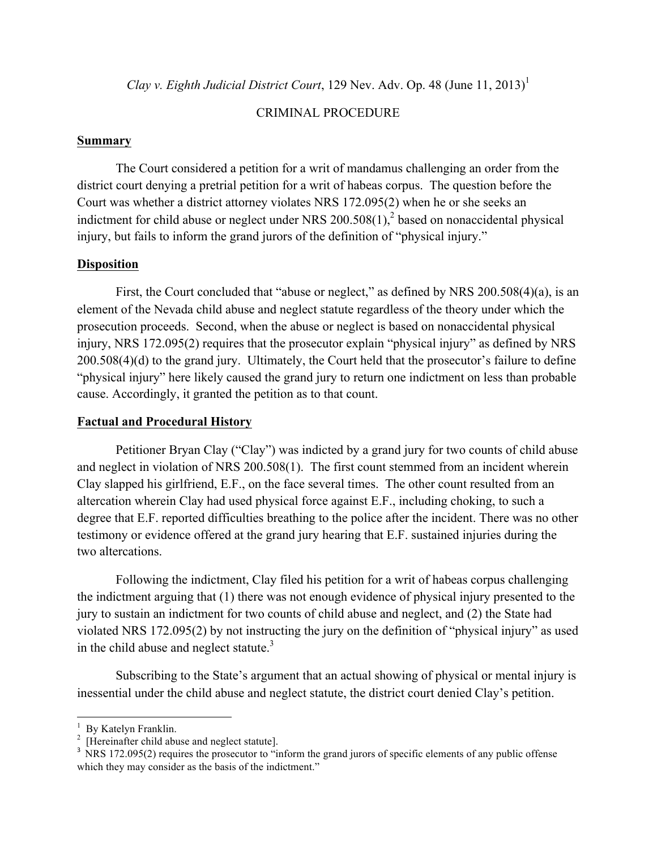*Clay v. Eighth Judicial District Court*, 129 Nev. Adv. Op. 48 (June 11, 2013) 1

#### CRIMINAL PROCEDURE

#### **Summary**

The Court considered a petition for a writ of mandamus challenging an order from the district court denying a pretrial petition for a writ of habeas corpus. The question before the Court was whether a district attorney violates NRS 172.095(2) when he or she seeks an indictment for child abuse or neglect under NRS  $200.508(1)$ ,<sup>2</sup> based on nonaccidental physical injury, but fails to inform the grand jurors of the definition of "physical injury."

## **Disposition**

First, the Court concluded that "abuse or neglect," as defined by NRS 200.508(4)(a), is an element of the Nevada child abuse and neglect statute regardless of the theory under which the prosecution proceeds. Second, when the abuse or neglect is based on nonaccidental physical injury, NRS 172.095(2) requires that the prosecutor explain "physical injury" as defined by NRS 200.508(4)(d) to the grand jury. Ultimately, the Court held that the prosecutor's failure to define "physical injury" here likely caused the grand jury to return one indictment on less than probable cause. Accordingly, it granted the petition as to that count.

## **Factual and Procedural History**

Petitioner Bryan Clay ("Clay") was indicted by a grand jury for two counts of child abuse and neglect in violation of NRS 200.508(1). The first count stemmed from an incident wherein Clay slapped his girlfriend, E.F., on the face several times. The other count resulted from an altercation wherein Clay had used physical force against E.F., including choking, to such a degree that E.F. reported difficulties breathing to the police after the incident. There was no other testimony or evidence offered at the grand jury hearing that E.F. sustained injuries during the two altercations.

Following the indictment, Clay filed his petition for a writ of habeas corpus challenging the indictment arguing that (1) there was not enough evidence of physical injury presented to the jury to sustain an indictment for two counts of child abuse and neglect, and (2) the State had violated NRS 172.095(2) by not instructing the jury on the definition of "physical injury" as used in the child abuse and neglect statute.<sup>3</sup>

Subscribing to the State's argument that an actual showing of physical or mental injury is inessential under the child abuse and neglect statute, the district court denied Clay's petition.

 

<sup>1</sup>

<sup>&</sup>lt;sup>1</sup> By Katelyn Franklin.<br><sup>2</sup> [Hereinafter child abuse and neglect statute].<br><sup>3</sup> NRS 172.095(2) requires the prosecutor to "inform the grand jurors of specific elements of any public offense which they may consider as the basis of the indictment."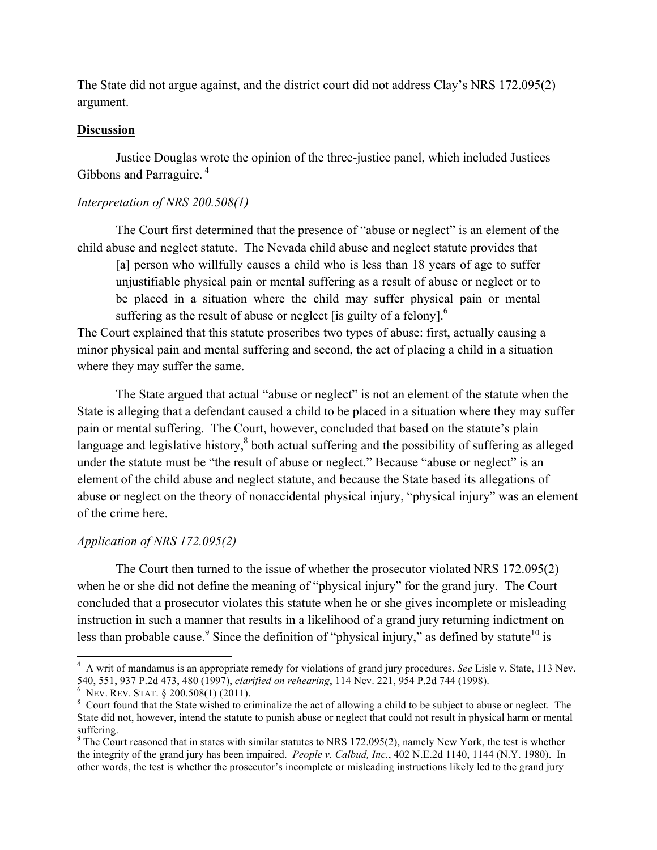The State did not argue against, and the district court did not address Clay's NRS 172.095(2) argument.

#### **Discussion**

Justice Douglas wrote the opinion of the three-justice panel, which included Justices Gibbons and Parraguire. <sup>4</sup>

#### *Interpretation of NRS 200.508(1)*

The Court first determined that the presence of "abuse or neglect" is an element of the child abuse and neglect statute. The Nevada child abuse and neglect statute provides that

[a] person who willfully causes a child who is less than 18 years of age to suffer unjustifiable physical pain or mental suffering as a result of abuse or neglect or to be placed in a situation where the child may suffer physical pain or mental suffering as the result of abuse or neglect [is guilty of a felony]. $<sup>6</sup>$ </sup>

The Court explained that this statute proscribes two types of abuse: first, actually causing a minor physical pain and mental suffering and second, the act of placing a child in a situation where they may suffer the same.

The State argued that actual "abuse or neglect" is not an element of the statute when the State is alleging that a defendant caused a child to be placed in a situation where they may suffer pain or mental suffering. The Court, however, concluded that based on the statute's plain language and legislative history,<sup>8</sup> both actual suffering and the possibility of suffering as alleged under the statute must be "the result of abuse or neglect." Because "abuse or neglect" is an element of the child abuse and neglect statute, and because the State based its allegations of abuse or neglect on the theory of nonaccidental physical injury, "physical injury" was an element of the crime here.

## *Application of NRS 172.095(2)*

The Court then turned to the issue of whether the prosecutor violated NRS 172.095(2) when he or she did not define the meaning of "physical injury" for the grand jury. The Court concluded that a prosecutor violates this statute when he or she gives incomplete or misleading instruction in such a manner that results in a likelihood of a grand jury returning indictment on less than probable cause.<sup>9</sup> Since the definition of "physical injury," as defined by statute<sup>10</sup> is

 

<sup>4</sup> A writ of mandamus is an appropriate remedy for violations of grand jury procedures. *See* Lisle v. State, 113 Nev. 540, 551, 937 P.2d 473, 480 (1997), *clarified on rehearing*, 114 Nev. 221, 954 P.2d 744 (1998).<br><sup>6</sup> NEV. REV. STAT. § 200.508(1) (2011).

 $\delta$  Court found that the State wished to criminalize the act of allowing a child to be subject to abuse or neglect. The State did not, however, intend the statute to punish abuse or neglect that could not result in physical harm or mental suffering.

 $9$  The Court reasoned that in states with similar statutes to NRS 172.095(2), namely New York, the test is whether the integrity of the grand jury has been impaired. *People v. Calbud, Inc.*, 402 N.E.2d 1140, 1144 (N.Y. 1980). In other words, the test is whether the prosecutor's incomplete or misleading instructions likely led to the grand jury